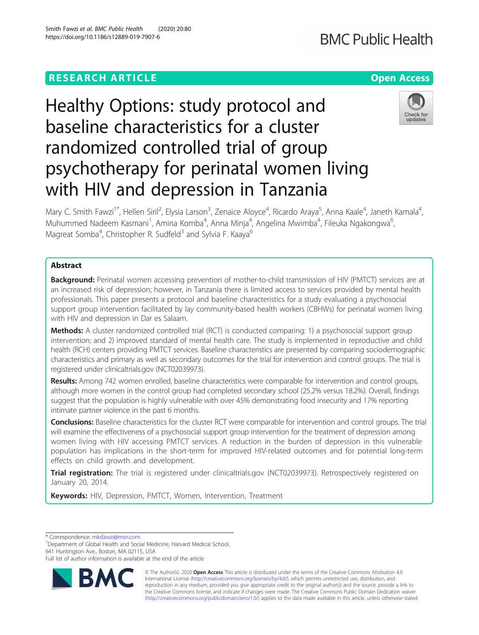## **RESEARCH ARTICLE Example 2014 12:30 The Contract of Contract ACCESS**

# Healthy Options: study protocol and baseline characteristics for a cluster randomized controlled trial of group psychotherapy for perinatal women living with HIV and depression in Tanzania

Mary C. Smith Fawzi<sup>1\*</sup>, Hellen Siril<sup>2</sup>, Elysia Larson<sup>3</sup>, Zenaice Aloyce<sup>4</sup>, Ricardo Araya<sup>5</sup>, Anna Kaale<sup>4</sup>, Janeth Kamala<sup>4</sup> , Muhummed Nadeem Kasmani<sup>1</sup>, Amina Komba<sup>4</sup>, Anna Minja<sup>4</sup>, Angelina Mwimba<sup>4</sup>, Fileuka Ngakongwa<sup>6</sup> י<br>, Magreat Somba<sup>4</sup>, Christopher R. Sudfeld<sup>3</sup> and Sylvia F. Kaaya<sup>6</sup>

## Abstract

Background: Perinatal women accessing prevention of mother-to-child transmission of HIV (PMTCT) services are at an increased risk of depression; however, in Tanzania there is limited access to services provided by mental health professionals. This paper presents a protocol and baseline characteristics for a study evaluating a psychosocial support group intervention facilitated by lay community-based health workers (CBHWs) for perinatal women living with HIV and depression in Dar es Salaam.

**Methods:** A cluster randomized controlled trial (RCT) is conducted comparing: 1) a psychosocial support group intervention; and 2) improved standard of mental health care. The study is implemented in reproductive and child health (RCH) centers providing PMTCT services. Baseline characteristics are presented by comparing sociodemographic characteristics and primary as well as secondary outcomes for the trial for intervention and control groups. The trial is registered under clinicaltrials.gov (NCT02039973).

Results: Among 742 women enrolled, baseline characteristics were comparable for intervention and control groups, although more women in the control group had completed secondary school (25.2% versus 18.2%). Overall, findings suggest that the population is highly vulnerable with over 45% demonstrating food insecurity and 17% reporting intimate partner violence in the past 6 months.

Conclusions: Baseline characteristics for the cluster RCT were comparable for intervention and control groups. The trial will examine the effectiveness of a psychosocial support group intervention for the treatment of depression among women living with HIV accessing PMTCT services. A reduction in the burden of depression in this vulnerable population has implications in the short-term for improved HIV-related outcomes and for potential long-term effects on child growth and development.

Trial registration: The trial is registered under clinicaltrials.gov (NCT02039973). Retrospectively registered on January 20, 2014.

Keywords: HIV, Depression, PMTCT, Women, Intervention, Treatment

\* Correspondence: [mksfawzi@msn.com](mailto:mksfawzi@msn.com) <sup>1</sup>

<sup>1</sup>Department of Global Health and Social Medicine, Harvard Medical School, 641 Huntington Ave., Boston, MA 02115, USA

Full list of author information is available at the end of the article



© The Author(s). 2020 **Open Access** This article is distributed under the terms of the Creative Commons Attribution 4.0 International License [\(http://creativecommons.org/licenses/by/4.0/](http://creativecommons.org/licenses/by/4.0/)), which permits unrestricted use, distribution, and reproduction in any medium, provided you give appropriate credit to the original author(s) and the source, provide a link to the Creative Commons license, and indicate if changes were made. The Creative Commons Public Domain Dedication waiver [\(http://creativecommons.org/publicdomain/zero/1.0/](http://creativecommons.org/publicdomain/zero/1.0/)) applies to the data made available in this article, unless otherwise stated.



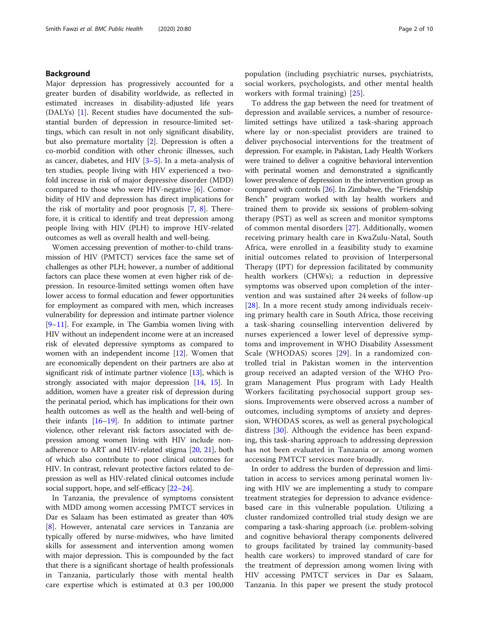## Background

Major depression has progressively accounted for a greater burden of disability worldwide, as reflected in estimated increases in disability-adjusted life years (DALYs) [[1\]](#page-8-0). Recent studies have documented the substantial burden of depression in resource-limited settings, which can result in not only significant disability, but also premature mortality [\[2\]](#page-8-0). Depression is often a co-morbid condition with other chronic illnesses, such as cancer, diabetes, and HIV [[3](#page-8-0)–[5](#page-8-0)]. In a meta-analysis of ten studies, people living with HIV experienced a twofold increase in risk of major depressive disorder (MDD) compared to those who were HIV-negative [\[6](#page-8-0)]. Comorbidity of HIV and depression has direct implications for the risk of mortality and poor prognosis [[7,](#page-8-0) [8\]](#page-8-0). Therefore, it is critical to identify and treat depression among people living with HIV (PLH) to improve HIV-related outcomes as well as overall health and well-being.

Women accessing prevention of mother-to-child transmission of HIV (PMTCT) services face the same set of challenges as other PLH; however, a number of additional factors can place these women at even higher risk of depression. In resource-limited settings women often have lower access to formal education and fewer opportunities for employment as compared with men, which increases vulnerability for depression and intimate partner violence [[9](#page-8-0)–[11](#page-8-0)]. For example, in The Gambia women living with HIV without an independent income were at an increased risk of elevated depressive symptoms as compared to women with an independent income [\[12](#page-8-0)]. Women that are economically dependent on their partners are also at significant risk of intimate partner violence [[13](#page-8-0)], which is strongly associated with major depression [\[14,](#page-8-0) [15](#page-8-0)]. In addition, women have a greater risk of depression during the perinatal period, which has implications for their own health outcomes as well as the health and well-being of their infants [[16](#page-8-0)–[19\]](#page-8-0). In addition to intimate partner violence, other relevant risk factors associated with depression among women living with HIV include nonadherence to ART and HIV-related stigma [\[20](#page-8-0), [21](#page-8-0)], both of which also contribute to poor clinical outcomes for HIV. In contrast, relevant protective factors related to depression as well as HIV-related clinical outcomes include social support, hope, and self-efficacy [\[22](#page-8-0)–[24](#page-8-0)].

In Tanzania, the prevalence of symptoms consistent with MDD among women accessing PMTCT services in Dar es Salaam has been estimated as greater than 40% [[8\]](#page-8-0). However, antenatal care services in Tanzania are typically offered by nurse-midwives, who have limited skills for assessment and intervention among women with major depression. This is compounded by the fact that there is a significant shortage of health professionals in Tanzania, particularly those with mental health care expertise which is estimated at 0.3 per 100,000 population (including psychiatric nurses, psychiatrists, social workers, psychologists, and other mental health workers with formal training) [\[25](#page-8-0)].

To address the gap between the need for treatment of depression and available services, a number of resourcelimited settings have utilized a task-sharing approach where lay or non-specialist providers are trained to deliver psychosocial interventions for the treatment of depression. For example, in Pakistan, Lady Health Workers were trained to deliver a cognitive behavioral intervention with perinatal women and demonstrated a significantly lower prevalence of depression in the intervention group as compared with controls [\[26\]](#page-8-0). In Zimbabwe, the "Friendship Bench" program worked with lay health workers and trained them to provide six sessions of problem-solving therapy (PST) as well as screen and monitor symptoms of common mental disorders [[27\]](#page-8-0). Additionally, women receiving primary health care in KwaZulu-Natal, South Africa, were enrolled in a feasibility study to examine initial outcomes related to provision of Interpersonal Therapy (IPT) for depression facilitated by community health workers (CHWs); a reduction in depressive symptoms was observed upon completion of the intervention and was sustained after 24 weeks of follow-up [[28\]](#page-8-0). In a more recent study among individuals receiving primary health care in South Africa, those receiving a task-sharing counselling intervention delivered by nurses experienced a lower level of depressive symptoms and improvement in WHO Disability Assessment Scale (WHODAS) scores [\[29](#page-8-0)]. In a randomized controlled trial in Pakistan women in the intervention group received an adapted version of the WHO Program Management Plus program with Lady Health Workers facilitating psychosocial support group sessions. Improvements were observed across a number of outcomes, including symptoms of anxiety and depression, WHODAS scores, as well as general psychological distress [\[30](#page-8-0)]. Although the evidence has been expanding, this task-sharing approach to addressing depression has not been evaluated in Tanzania or among women accessing PMTCT services more broadly.

In order to address the burden of depression and limitation in access to services among perinatal women living with HIV we are implementing a study to compare treatment strategies for depression to advance evidencebased care in this vulnerable population. Utilizing a cluster randomized controlled trial study design we are comparing a task-sharing approach (i.e. problem-solving and cognitive behavioral therapy components delivered to groups facilitated by trained lay community-based health care workers) to improved standard of care for the treatment of depression among women living with HIV accessing PMTCT services in Dar es Salaam, Tanzania. In this paper we present the study protocol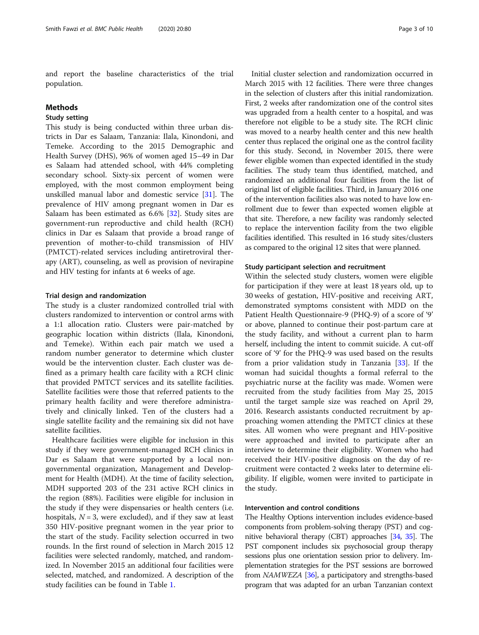and report the baseline characteristics of the trial population.

## Methods

## Study setting

This study is being conducted within three urban districts in Dar es Salaam, Tanzania: Ilala, Kinondoni, and Temeke. According to the 2015 Demographic and Health Survey (DHS), 96% of women aged 15–49 in Dar es Salaam had attended school, with 44% completing secondary school. Sixty-six percent of women were employed, with the most common employment being unskilled manual labor and domestic service [[31](#page-8-0)]. The prevalence of HIV among pregnant women in Dar es Salaam has been estimated as 6.6% [[32\]](#page-8-0). Study sites are government-run reproductive and child health (RCH) clinics in Dar es Salaam that provide a broad range of prevention of mother-to-child transmission of HIV (PMTCT)-related services including antiretroviral therapy (ART), counseling, as well as provision of nevirapine and HIV testing for infants at 6 weeks of age.

### Trial design and randomization

The study is a cluster randomized controlled trial with clusters randomized to intervention or control arms with a 1:1 allocation ratio. Clusters were pair-matched by geographic location within districts (Ilala, Kinondoni, and Temeke). Within each pair match we used a random number generator to determine which cluster would be the intervention cluster. Each cluster was defined as a primary health care facility with a RCH clinic that provided PMTCT services and its satellite facilities. Satellite facilities were those that referred patients to the primary health facility and were therefore administratively and clinically linked. Ten of the clusters had a single satellite facility and the remaining six did not have satellite facilities.

Healthcare facilities were eligible for inclusion in this study if they were government-managed RCH clinics in Dar es Salaam that were supported by a local nongovernmental organization, Management and Development for Health (MDH). At the time of facility selection, MDH supported 203 of the 231 active RCH clinics in the region (88%). Facilities were eligible for inclusion in the study if they were dispensaries or health centers (i.e. hospitals,  $N = 3$ , were excluded), and if they saw at least 350 HIV-positive pregnant women in the year prior to the start of the study. Facility selection occurred in two rounds. In the first round of selection in March 2015 12 facilities were selected randomly, matched, and randomized. In November 2015 an additional four facilities were selected, matched, and randomized. A description of the study facilities can be found in Table [1.](#page-3-0)

Initial cluster selection and randomization occurred in March 2015 with 12 facilities. There were three changes in the selection of clusters after this initial randomization. First, 2 weeks after randomization one of the control sites was upgraded from a health center to a hospital, and was therefore not eligible to be a study site. The RCH clinic was moved to a nearby health center and this new health center thus replaced the original one as the control facility for this study. Second, in November 2015, there were fewer eligible women than expected identified in the study facilities. The study team thus identified, matched, and randomized an additional four facilities from the list of original list of eligible facilities. Third, in January 2016 one of the intervention facilities also was noted to have low enrollment due to fewer than expected women eligible at that site. Therefore, a new facility was randomly selected to replace the intervention facility from the two eligible facilities identified. This resulted in 16 study sites/clusters as compared to the original 12 sites that were planned.

## Study participant selection and recruitment

Within the selected study clusters, women were eligible for participation if they were at least 18 years old, up to 30 weeks of gestation, HIV-positive and receiving ART, demonstrated symptoms consistent with MDD on the Patient Health Questionnaire-9 (PHQ-9) of a score of '9' or above, planned to continue their post-partum care at the study facility, and without a current plan to harm herself, including the intent to commit suicide. A cut-off score of '9' for the PHQ-9 was used based on the results from a prior validation study in Tanzania [\[33](#page-8-0)]. If the woman had suicidal thoughts a formal referral to the psychiatric nurse at the facility was made. Women were recruited from the study facilities from May 25, 2015 until the target sample size was reached on April 29, 2016. Research assistants conducted recruitment by approaching women attending the PMTCT clinics at these sites. All women who were pregnant and HIV-positive were approached and invited to participate after an interview to determine their eligibility. Women who had received their HIV-positive diagnosis on the day of recruitment were contacted 2 weeks later to determine eligibility. If eligible, women were invited to participate in the study.

## Intervention and control conditions

The Healthy Options intervention includes evidence-based components from problem-solving therapy (PST) and cognitive behavioral therapy (CBT) approaches [\[34,](#page-8-0) [35](#page-9-0)]. The PST component includes six psychosocial group therapy sessions plus one orientation session prior to delivery. Implementation strategies for the PST sessions are borrowed from NAMWEZA [\[36](#page-9-0)], a participatory and strengths-based program that was adapted for an urban Tanzanian context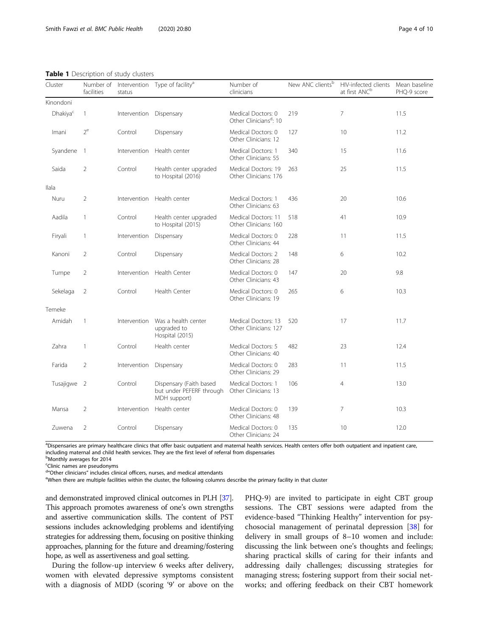<span id="page-3-0"></span>Table 1 Description of study clusters

| Cluster              | Number of<br>facilities | Intervention<br>status  | Type of facility <sup>a</sup>                                       | Number of<br>clinicians                                  | New ANC clients <sup>b</sup> | HIV-infected clients<br>at first ANC <sup>b</sup> | Mean baseline<br>PHQ-9 score |
|----------------------|-------------------------|-------------------------|---------------------------------------------------------------------|----------------------------------------------------------|------------------------------|---------------------------------------------------|------------------------------|
| Kinondoni            |                         |                         |                                                                     |                                                          |                              |                                                   |                              |
| Dhakiya <sup>c</sup> | $\mathbf{1}$            | Intervention Dispensary |                                                                     | Medical Doctors: 0<br>Other Clinicians <sup>d</sup> : 10 | 219                          | 7                                                 | 11.5                         |
| Imani                | $2^e$                   | Control                 | Dispensary                                                          | Medical Doctors: 0<br>Other Clinicians: 12               | 127                          | 10                                                | 11.2                         |
| Syandene             | $\overline{1}$          | Intervention            | Health center                                                       | Medical Doctors: 1<br>Other Clinicians: 55               | 340                          | 15                                                | 11.6                         |
| Saida                | $\overline{2}$          | Control                 | Health center upgraded<br>to Hospital (2016)                        | Medical Doctors: 19<br>Other Clinicians: 176             | 263                          | 25                                                | 11.5                         |
| Ilala                |                         |                         |                                                                     |                                                          |                              |                                                   |                              |
| Nuru                 | $\overline{2}$          | Intervention            | Health center                                                       | Medical Doctors: 1<br>Other Clinicians: 63               | 436                          | 20                                                | 10.6                         |
| Aadila               | $\mathbf{1}$            | Control                 | Health center upgraded<br>to Hospital (2015)                        | Medical Doctors: 11<br>Other Clinicians: 160             | 518                          | 41                                                | 10.9                         |
| Firyali              | 1                       | Intervention            | Dispensary                                                          | Medical Doctors: 0<br>Other Clinicians: 44               | 228                          | 11                                                | 11.5                         |
| Kanoni               | $\overline{2}$          | Control                 | Dispensary                                                          | Medical Doctors: 2<br>Other Clinicians: 28               | 148                          | 6                                                 | 10.2                         |
| Tumpe                | $\overline{2}$          | Intervention            | Health Center                                                       | Medical Doctors: 0<br>Other Clinicians: 43               | 147                          | 20                                                | 9.8                          |
| Sekelaga             | 2                       | Control                 | Health Center                                                       | Medical Doctors: 0<br>Other Clinicians: 19               | 265                          | 6                                                 | 10.3                         |
| Temeke               |                         |                         |                                                                     |                                                          |                              |                                                   |                              |
| Amidah               | $\mathbf{1}$            | Intervention            | Was a health center<br>upgraded to<br>Hospital (2015)               | Medical Doctors: 13<br>Other Clinicians: 127             | 520                          | 17                                                | 11.7                         |
| Zahra                | $\mathbf{1}$            | Control                 | Health center                                                       | Medical Doctors: 5<br>Other Clinicians: 40               | 482                          | 23                                                | 12.4                         |
| Farida               | $\overline{2}$          | Intervention            | Dispensary                                                          | Medical Doctors: 0<br>Other Clinicians: 29               | 283                          | 11                                                | 11.5                         |
| Tusajigwe 2          |                         | Control                 | Dispensary (Faith based<br>but under PEFERF through<br>MDH support) | Medical Doctors: 1<br>Other Clinicians: 13               | 106                          | $\overline{4}$                                    | 13.0                         |
| Mansa                | $\overline{2}$          | Intervention            | Health center                                                       | Medical Doctors: 0<br>Other Clinicians: 48               | 139                          | 7                                                 | 10.3                         |
| Zuwena               | $\overline{2}$          | Control                 | Dispensary                                                          | Medical Doctors: 0<br>Other Clinicians: 24               | 135                          | 10                                                | 12.0                         |

<sup>a</sup>Dispensaries are primary healthcare clinics that offer basic outpatient and maternal health services. Health centers offer both outpatient and inpatient care, including maternal and child health services. They are the first level of referral from dispensaries <sup>b</sup>Monthly averages for 2014

c Clinic names are pseudonyms

<sup>d</sup> Other clinicians" includes clinical officers, nurses, and medical attendants<br>When there are multiple facilities within the cluster, the following column When there are multiple facilities within the cluster, the following columns describe the primary facility in that cluster

and demonstrated improved clinical outcomes in PLH [\[37](#page-9-0)]. This approach promotes awareness of one's own strengths and assertive communication skills. The content of PST sessions includes acknowledging problems and identifying strategies for addressing them, focusing on positive thinking approaches, planning for the future and dreaming/fostering hope, as well as assertiveness and goal setting.

During the follow-up interview 6 weeks after delivery, women with elevated depressive symptoms consistent with a diagnosis of MDD (scoring '9' or above on the PHQ-9) are invited to participate in eight CBT group sessions. The CBT sessions were adapted from the evidence-based "Thinking Healthy" intervention for psychosocial management of perinatal depression [\[38](#page-9-0)] for delivery in small groups of 8–10 women and include: discussing the link between one's thoughts and feelings; sharing practical skills of caring for their infants and addressing daily challenges; discussing strategies for managing stress; fostering support from their social networks; and offering feedback on their CBT homework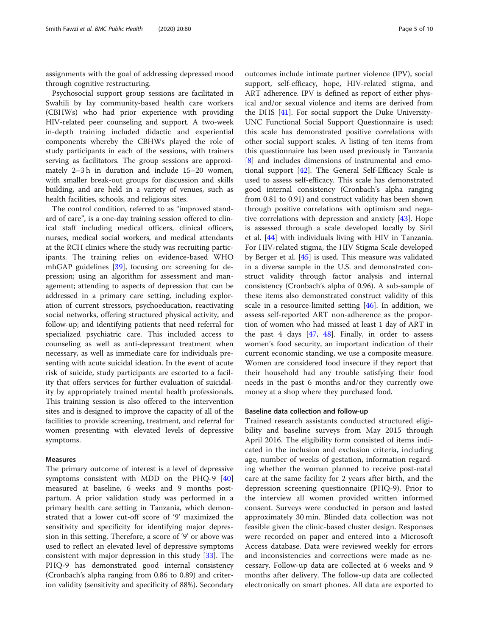assignments with the goal of addressing depressed mood through cognitive restructuring.

Psychosocial support group sessions are facilitated in Swahili by lay community-based health care workers (CBHWs) who had prior experience with providing HIV-related peer counseling and support. A two-week in-depth training included didactic and experiential components whereby the CBHWs played the role of study participants in each of the sessions, with trainers serving as facilitators. The group sessions are approximately 2–3 h in duration and include 15–20 women, with smaller break-out groups for discussion and skills building, and are held in a variety of venues, such as health facilities, schools, and religious sites.

The control condition, referred to as "improved standard of care", is a one-day training session offered to clinical staff including medical officers, clinical officers, nurses, medical social workers, and medical attendants at the RCH clinics where the study was recruiting participants. The training relies on evidence-based WHO mhGAP guidelines [[39\]](#page-9-0), focusing on: screening for depression; using an algorithm for assessment and management; attending to aspects of depression that can be addressed in a primary care setting, including exploration of current stressors, psychoeducation, reactivating social networks, offering structured physical activity, and follow-up; and identifying patients that need referral for specialized psychiatric care. This included access to counseling as well as anti-depressant treatment when necessary, as well as immediate care for individuals presenting with acute suicidal ideation. In the event of acute risk of suicide, study participants are escorted to a facility that offers services for further evaluation of suicidality by appropriately trained mental health professionals. This training session is also offered to the intervention sites and is designed to improve the capacity of all of the facilities to provide screening, treatment, and referral for women presenting with elevated levels of depressive symptoms.

## Measures

The primary outcome of interest is a level of depressive symptoms consistent with MDD on the PHQ-9 [[40](#page-9-0)] measured at baseline, 6 weeks and 9 months postpartum. A prior validation study was performed in a primary health care setting in Tanzania, which demonstrated that a lower cut-off score of '9' maximized the sensitivity and specificity for identifying major depression in this setting. Therefore, a score of '9' or above was used to reflect an elevated level of depressive symptoms consistent with major depression in this study [[33](#page-8-0)]. The PHQ-9 has demonstrated good internal consistency (Cronbach's alpha ranging from 0.86 to 0.89) and criterion validity (sensitivity and specificity of 88%). Secondary

outcomes include intimate partner violence (IPV), social support, self-efficacy, hope, HIV-related stigma, and ART adherence. IPV is defined as report of either physical and/or sexual violence and items are derived from the DHS [\[41](#page-9-0)]. For social support the Duke University-UNC Functional Social Support Questionnaire is used; this scale has demonstrated positive correlations with other social support scales. A listing of ten items from this questionnaire has been used previously in Tanzania [[8\]](#page-8-0) and includes dimensions of instrumental and emotional support [[42\]](#page-9-0). The General Self-Efficacy Scale is used to assess self-efficacy. This scale has demonstrated good internal consistency (Cronbach's alpha ranging from 0.81 to 0.91) and construct validity has been shown through positive correlations with optimism and nega-tive correlations with depression and anxiety [[43](#page-9-0)]. Hope is assessed through a scale developed locally by Siril et al. [\[44\]](#page-9-0) with individuals living with HIV in Tanzania. For HIV-related stigma, the HIV Stigma Scale developed by Berger et al. [\[45](#page-9-0)] is used. This measure was validated in a diverse sample in the U.S. and demonstrated construct validity through factor analysis and internal consistency (Cronbach's alpha of 0.96). A sub-sample of these items also demonstrated construct validity of this scale in a resource-limited setting [\[46\]](#page-9-0). In addition, we assess self-reported ART non-adherence as the proportion of women who had missed at least 1 day of ART in the past 4 days  $[47, 48]$  $[47, 48]$  $[47, 48]$ . Finally, in order to assess women's food security, an important indication of their current economic standing, we use a composite measure. Women are considered food insecure if they report that their household had any trouble satisfying their food needs in the past 6 months and/or they currently owe money at a shop where they purchased food.

## Baseline data collection and follow-up

Trained research assistants conducted structured eligibility and baseline surveys from May 2015 through April 2016. The eligibility form consisted of items indicated in the inclusion and exclusion criteria, including age, number of weeks of gestation, information regarding whether the woman planned to receive post-natal care at the same facility for 2 years after birth, and the depression screening questionnaire (PHQ-9). Prior to the interview all women provided written informed consent. Surveys were conducted in person and lasted approximately 30 min. Blinded data collection was not feasible given the clinic-based cluster design. Responses were recorded on paper and entered into a Microsoft Access database. Data were reviewed weekly for errors and inconsistencies and corrections were made as necessary. Follow-up data are collected at 6 weeks and 9 months after delivery. The follow-up data are collected electronically on smart phones. All data are exported to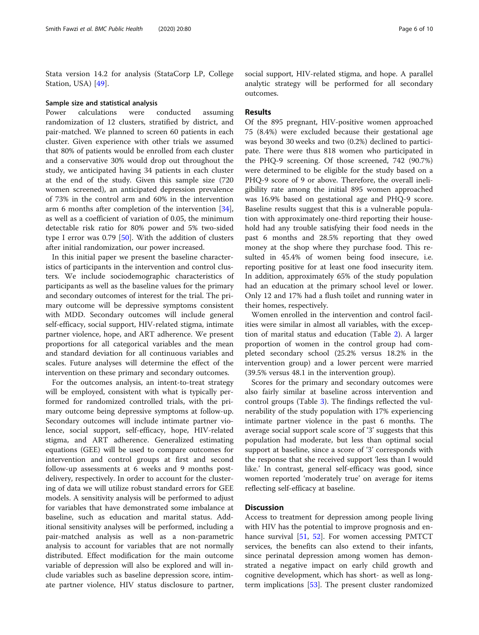Stata version 14.2 for analysis (StataCorp LP, College Station, USA) [\[49](#page-9-0)].

#### Sample size and statistical analysis

Power calculations were conducted assuming randomization of 12 clusters, stratified by district, and pair-matched. We planned to screen 60 patients in each cluster. Given experience with other trials we assumed that 80% of patients would be enrolled from each cluster and a conservative 30% would drop out throughout the study, we anticipated having 34 patients in each cluster at the end of the study. Given this sample size (720 women screened), an anticipated depression prevalence of 73% in the control arm and 60% in the intervention arm 6 months after completion of the intervention [\[34](#page-8-0)], as well as a coefficient of variation of 0.05, the minimum detectable risk ratio for 80% power and 5% two-sided type I error was 0.79 [[50\]](#page-9-0). With the addition of clusters after initial randomization, our power increased.

In this initial paper we present the baseline characteristics of participants in the intervention and control clusters. We include sociodemographic characteristics of participants as well as the baseline values for the primary and secondary outcomes of interest for the trial. The primary outcome will be depressive symptoms consistent with MDD. Secondary outcomes will include general self-efficacy, social support, HIV-related stigma, intimate partner violence, hope, and ART adherence. We present proportions for all categorical variables and the mean and standard deviation for all continuous variables and scales. Future analyses will determine the effect of the intervention on these primary and secondary outcomes.

For the outcomes analysis, an intent-to-treat strategy will be employed, consistent with what is typically performed for randomized controlled trials, with the primary outcome being depressive symptoms at follow-up. Secondary outcomes will include intimate partner violence, social support, self-efficacy, hope, HIV-related stigma, and ART adherence. Generalized estimating equations (GEE) will be used to compare outcomes for intervention and control groups at first and second follow-up assessments at 6 weeks and 9 months postdelivery, respectively. In order to account for the clustering of data we will utilize robust standard errors for GEE models. A sensitivity analysis will be performed to adjust for variables that have demonstrated some imbalance at baseline, such as education and marital status. Additional sensitivity analyses will be performed, including a pair-matched analysis as well as a non-parametric analysis to account for variables that are not normally distributed. Effect modification for the main outcome variable of depression will also be explored and will include variables such as baseline depression score, intimate partner violence, HIV status disclosure to partner, social support, HIV-related stigma, and hope. A parallel analytic strategy will be performed for all secondary outcomes.

## Results

Of the 895 pregnant, HIV-positive women approached 75 (8.4%) were excluded because their gestational age was beyond 30 weeks and two (0.2%) declined to participate. There were thus 818 women who participated in the PHQ-9 screening. Of those screened, 742 (90.7%) were determined to be eligible for the study based on a PHQ-9 score of 9 or above. Therefore, the overall ineligibility rate among the initial 895 women approached was 16.9% based on gestational age and PHQ-9 score. Baseline results suggest that this is a vulnerable population with approximately one-third reporting their household had any trouble satisfying their food needs in the past 6 months and 28.5% reporting that they owed money at the shop where they purchase food. This resulted in 45.4% of women being food insecure, i.e. reporting positive for at least one food insecurity item. In addition, approximately 65% of the study population had an education at the primary school level or lower. Only 12 and 17% had a flush toilet and running water in their homes, respectively.

Women enrolled in the intervention and control facilities were similar in almost all variables, with the exception of marital status and education (Table [2](#page-6-0)). A larger proportion of women in the control group had completed secondary school (25.2% versus 18.2% in the intervention group) and a lower percent were married (39.5% versus 48.1 in the intervention group).

Scores for the primary and secondary outcomes were also fairly similar at baseline across intervention and control groups (Table [3](#page-6-0)). The findings reflected the vulnerability of the study population with 17% experiencing intimate partner violence in the past 6 months. The average social support scale score of '3' suggests that this population had moderate, but less than optimal social support at baseline, since a score of '3' corresponds with the response that she received support 'less than I would like.' In contrast, general self-efficacy was good, since women reported 'moderately true' on average for items reflecting self-efficacy at baseline.

## **Discussion**

Access to treatment for depression among people living with HIV has the potential to improve prognosis and en-hance survival [\[51](#page-9-0), [52\]](#page-9-0). For women accessing PMTCT services, the benefits can also extend to their infants, since perinatal depression among women has demonstrated a negative impact on early child growth and cognitive development, which has short- as well as longterm implications [\[53](#page-9-0)]. The present cluster randomized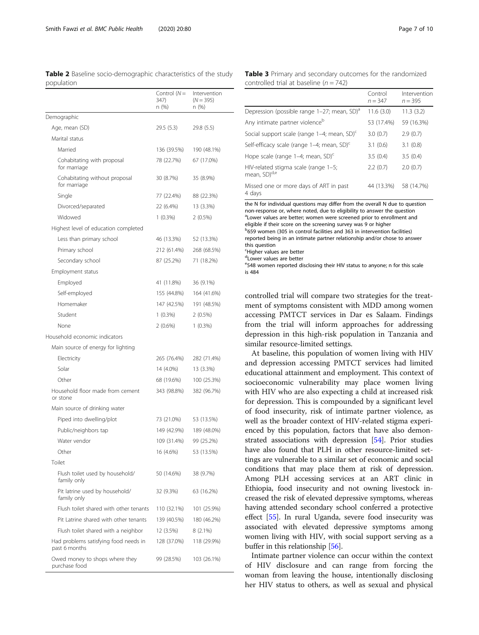<span id="page-6-0"></span>Table 2 Baseline socio-demographic characteristics of the study population

|                                                        | Control $(N=$<br>347)<br>n (%) | Intervention<br>$(N = 395)$<br>n (%) |
|--------------------------------------------------------|--------------------------------|--------------------------------------|
| Demographic                                            |                                |                                      |
| Age, mean (SD)                                         | 29.5(5.3)                      | 29.8 (5.5)                           |
| Marital status                                         |                                |                                      |
| Married                                                | 136 (39.5%)                    | 190 (48.1%)                          |
| Cohabitating with proposal<br>for marriage             | 78 (22.7%)                     | 67 (17.0%)                           |
| Cohabitating without proposal<br>for marriage          | 30 (8.7%)                      | 35 (8.9%)                            |
| Single                                                 | 77 (22.4%)                     | 88 (22.3%)                           |
| Divorced/separated                                     | 22 (6.4%)                      | 13 (3.3%)                            |
| Widowed                                                | $1(0.3\%)$                     | $2(0.5\%)$                           |
| Highest level of education completed                   |                                |                                      |
| Less than primary school                               | 46 (13.3%)                     | 52 (13.3%)                           |
| Primary school                                         | 212 (61.4%)                    | 268 (68.5%)                          |
| Secondary school                                       | 87 (25.2%)                     | 71 (18.2%)                           |
| Employment status                                      |                                |                                      |
| Employed                                               | 41 (11.8%)                     | 36 (9.1%)                            |
| Self-employed                                          | 155 (44.8%)                    | 164 (41.6%)                          |
| Homemaker                                              | 147 (42.5%)                    | 191 (48.5%)                          |
| Student                                                | $1(0.3\%)$                     | $2(0.5\%)$                           |
| None                                                   | $2(0.6\%)$                     | $1(0.3\%)$                           |
| Household economic indicators                          |                                |                                      |
| Main source of energy for lighting                     |                                |                                      |
| Electricity                                            | 265 (76.4%)                    | 282 (71.4%)                          |
| Solar                                                  | 14 (4.0%)                      | 13 (3.3%)                            |
| Other                                                  | 68 (19.6%)                     | 100 (25.3%)                          |
| Household floor made from cement<br>or stone           | 343 (98.8%)                    | 382 (96.7%)                          |
| Main source of drinking water                          |                                |                                      |
| Piped into dwelling/plot                               | 73 (21.0%)                     | 53 (13.5%)                           |
| Public/neighbors tap                                   | 149 (42.9%)                    | 189 (48.0%)                          |
| Water vendor                                           | 109 (31.4%)                    | 99 (25.2%)                           |
| Other                                                  | 16 (4.6%)                      | 53 (13.5%)                           |
| Toilet                                                 |                                |                                      |
| Flush toilet used by household/<br>family only         | 50 (14.6%)                     | 38 (9.7%)                            |
| Pit latrine used by household/<br>family only          | 32 (9.3%)                      | 63 (16.2%)                           |
| Flush toilet shared with other tenants                 | 110 (32.1%)                    | 101 (25.9%)                          |
| Pit Latrine shared with other tenants                  | 139 (40.5%)                    | 180 (46.2%)                          |
| Flush toilet shared with a neighbor                    | 12 (3.5%)                      | $8(2.1\%)$                           |
| Had problems satisfying food needs in<br>past 6 months | 128 (37.0%)                    | 118 (29.9%)                          |
| Owed money to shops where they<br>purchase food        | 99 (28.5%)                     | 103 (26.1%)                          |

Table 3 Primary and secondary outcomes for the randomized controlled trial at baseline  $(n = 742)$ 

|                                                                  | Control<br>$n = 347$ | Intervention<br>$n = 395$ |
|------------------------------------------------------------------|----------------------|---------------------------|
| Depression (possible range 1–27; mean, SD) <sup>a</sup>          | 11.6(3.0)            | 11.3(3.2)                 |
| Any intimate partner violence <sup>b</sup>                       | 53 (17.4%)           | 59 (16.3%)                |
| Social support scale (range 1-4; mean, SD) <sup>c</sup>          | 3.0(0.7)             | 2.9(0.7)                  |
| Self-efficacy scale (range 1-4; mean, SD) <sup>c</sup>           | 3.1(0.6)             | 3.1(0.8)                  |
| Hope scale (range 1-4; mean, SD) <sup>c</sup>                    | 3.5(0.4)             | 3.5(0.4)                  |
| HIV-related stigma scale (range 1-5;<br>mean, SD) <sup>d,e</sup> | 2.2(0.7)             | 2.0(0.7)                  |
| Missed one or more days of ART in past<br>4 davs                 | 44 (13.3%)           | 58 (14.7%)                |

the N for individual questions may differ from the overall N due to question non-response or, where noted, due to eligibility to answer the question <sup>a</sup>Lower values are better; women were screened prior to enrollment and eligible if their score on the screening survey was 9 or higher b 659 women (305 in control facilities and 363 in intervention facilities) reported being in an intimate partner relationship and/or chose to answer

this question c Higher values are better

dLower values are better

e548 women reported disclosing their HIV status to anyone; n for this scale

is 484

controlled trial will compare two strategies for the treatment of symptoms consistent with MDD among women accessing PMTCT services in Dar es Salaam. Findings from the trial will inform approaches for addressing depression in this high-risk population in Tanzania and similar resource-limited settings.

At baseline, this population of women living with HIV and depression accessing PMTCT services had limited educational attainment and employment. This context of socioeconomic vulnerability may place women living with HIV who are also expecting a child at increased risk for depression. This is compounded by a significant level of food insecurity, risk of intimate partner violence, as well as the broader context of HIV-related stigma experienced by this population, factors that have also demonstrated associations with depression [[54\]](#page-9-0). Prior studies have also found that PLH in other resource-limited settings are vulnerable to a similar set of economic and social conditions that may place them at risk of depression. Among PLH accessing services at an ART clinic in Ethiopia, food insecurity and not owning livestock increased the risk of elevated depressive symptoms, whereas having attended secondary school conferred a protective effect [\[55\]](#page-9-0). In rural Uganda, severe food insecurity was associated with elevated depressive symptoms among women living with HIV, with social support serving as a buffer in this relationship [\[56](#page-9-0)].

Intimate partner violence can occur within the context of HIV disclosure and can range from forcing the woman from leaving the house, intentionally disclosing her HIV status to others, as well as sexual and physical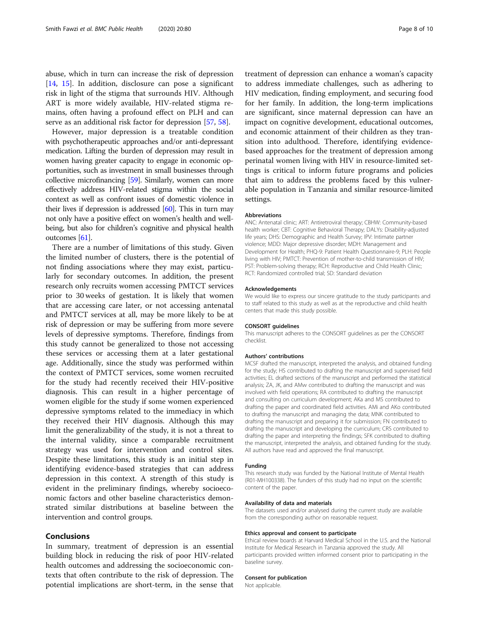However, major depression is a treatable condition with psychotherapeutic approaches and/or anti-depressant medication. Lifting the burden of depression may result in women having greater capacity to engage in economic opportunities, such as investment in small businesses through collective microfinancing [\[59](#page-9-0)]. Similarly, women can more effectively address HIV-related stigma within the social context as well as confront issues of domestic violence in their lives if depression is addressed  $[60]$  $[60]$ . This in turn may not only have a positive effect on women's health and wellbeing, but also for children's cognitive and physical health outcomes [\[61\]](#page-9-0).

There are a number of limitations of this study. Given the limited number of clusters, there is the potential of not finding associations where they may exist, particularly for secondary outcomes. In addition, the present research only recruits women accessing PMTCT services prior to 30 weeks of gestation. It is likely that women that are accessing care later, or not accessing antenatal and PMTCT services at all, may be more likely to be at risk of depression or may be suffering from more severe levels of depressive symptoms. Therefore, findings from this study cannot be generalized to those not accessing these services or accessing them at a later gestational age. Additionally, since the study was performed within the context of PMTCT services, some women recruited for the study had recently received their HIV-positive diagnosis. This can result in a higher percentage of women eligible for the study if some women experienced depressive symptoms related to the immediacy in which they received their HIV diagnosis. Although this may limit the generalizability of the study, it is not a threat to the internal validity, since a comparable recruitment strategy was used for intervention and control sites. Despite these limitations, this study is an initial step in identifying evidence-based strategies that can address depression in this context. A strength of this study is evident in the preliminary findings, whereby socioeconomic factors and other baseline characteristics demonstrated similar distributions at baseline between the intervention and control groups.

### Conclusions

In summary, treatment of depression is an essential building block in reducing the risk of poor HIV-related health outcomes and addressing the socioeconomic contexts that often contribute to the risk of depression. The potential implications are short-term, in the sense that

treatment of depression can enhance a woman's capacity to address immediate challenges, such as adhering to HIV medication, finding employment, and securing food for her family. In addition, the long-term implications are significant, since maternal depression can have an impact on cognitive development, educational outcomes, and economic attainment of their children as they transition into adulthood. Therefore, identifying evidencebased approaches for the treatment of depression among perinatal women living with HIV in resource-limited settings is critical to inform future programs and policies that aim to address the problems faced by this vulnerable population in Tanzania and similar resource-limited settings.

#### Abbreviations

ANC: Antenatal clinic; ART: Antiretroviral therapy; CBHW: Community-based health worker; CBT: Cognitive Behavioral Therapy; DALYs: Disability-adjusted life years; DHS: Demographic and Health Survey; IPV: Intimate partner violence; MDD: Major depressive disorder; MDH: Management and Development for Health; PHQ-9: Patient Health Questionnaire-9; PLH: People living with HIV; PMTCT: Prevention of mother-to-child transmission of HIV; PST: Problem-solving therapy; RCH: Reproductive and Child Health Clinic; RCT: Randomized controlled trial; SD: Standard deviation

#### Acknowledgements

We would like to express our sincere gratitude to the study participants and to staff related to this study as well as at the reproductive and child health centers that made this study possible.

#### CONSORT guidelines

This manuscript adheres to the CONSORT guidelines as per the CONSORT checklist.

#### Authors' contributions

MCSF drafted the manuscript, interpreted the analysis, and obtained funding for the study; HS contributed to drafting the manuscript and supervised field activities; EL drafted sections of the manuscript and performed the statistical analysis; ZA, JK, and AMw contributed to drafting the manuscript and was involved with field operations; RA contributed to drafting the manuscript and consulting on curriculum development; AKa and MS contributed to drafting the paper and coordinated field activities. AMi and AKo contributed to drafting the manuscript and managing the data; MNK contributed to drafting the manuscript and preparing it for submission; FN contributed to drafting the manuscript and developing the curriculum; CRS contributed to drafting the paper and interpreting the findings; SFK contributed to drafting the manuscript, interpreted the analysis, and obtained funding for the study. All authors have read and approved the final manuscript.

#### Funding

This research study was funded by the National Institute of Mental Health (R01-MH100338). The funders of this study had no input on the scientific content of the paper.

#### Availability of data and materials

The datasets used and/or analysed during the current study are available from the corresponding author on reasonable request.

#### Ethics approval and consent to participate

Ethical review boards at Harvard Medical School in the U.S. and the National Institute for Medical Research in Tanzania approved the study. All participants provided written informed consent prior to participating in the baseline survey.

## Consent for publication

Not applicable.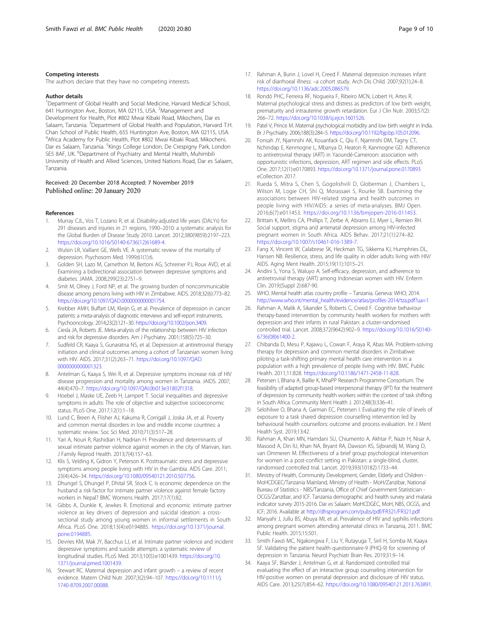#### <span id="page-8-0"></span>Competing interests

The authors declare that they have no competing interests.

#### Author details

<sup>1</sup>Department of Global Health and Social Medicine, Harvard Medical School, 641 Huntington Ave., Boston, MA 02115, USA. <sup>2</sup>Management and Development for Health, Plot #802 Mwai Kibaki Road, Mikocheni, Dar es Salaam, Tanzania. <sup>3</sup>Department of Global Health and Population, Harvard T.H. Chan School of Public Health, 655 Huntington Ave, Boston, MA 02115, USA. 4 Africa Academy for Public Health, Plot #802 Mwai Kibaki Road, Mikocheni, Dar es Salaam, Tanzania. <sup>5</sup>Kings College London, De Crespigny Park, London SE5 8AF, UK. <sup>6</sup>Department of Psychiatry and Mental Health, Muhimbili University of Health and Allied Sciences, United Nations Road, Dar es Salaam, Tanzania.

## Received: 20 December 2018 Accepted: 7 November 2019 Published online: 20 January 2020

## References

- 1. Murray CJL, Vos T, Lozano R, et al. Disability-adjusted life years (DALYs) for 291 diseases and injuries in 21 regions, 1990–2010: a systematic analysis for the Global Burden of Disease Study 2010. Lancet. 2012;380(9859):2197–223. [https://doi.org/10.1016/S0140-6736\(12\)61689-4.](https://doi.org/10.1016/S0140-6736(12)61689-4)
- 2. Wulsin LR, Vaillant GE, Wells VE. A systematic review of the mortality of depression. Psychosom Med. 1999;61(1):6.
- 3. Golden SH, Lazo M, Carnethon M, Bertoni AG, Schreiner PJ, Roux AVD, et al. Examining a bidirectional association between depressive symptoms and diabetes. JAMA. 2008;299(23):2751–9.
- 4. Smit M, Olney J, Ford NP, et al. The growing burden of noncommunicable disease among persons living with HIV in Zimbabwe. AIDS. 2018;32(6):773–82. <https://doi.org/10.1097/QAD.0000000000001754>.
- 5. Krebber AMH, Buffart LM, Kleijn G, et al. Prevalence of depression in cancer patients: a meta-analysis of diagnostic interviews and self-report instruments. Psychooncology. 2014;23(2):121–30. <https://doi.org/10.1002/pon.3409>.
- 6. Ciesla JA, Roberts JE. Meta-analysis of the relationship between HIV infection and risk for depressive disorders. Am J Psychiatry. 2001;158(5):725–30.
- 7. Sudfeld CR, Kaaya S, Gunaratna NS, et al. Depression at antiretroviral therapy initiation and clinical outcomes among a cohort of Tanzanian women living with HIV. AIDS. 2017;31(2):263–71. [https://doi.org/10.1097/QAD.](https://doi.org/10.1097/QAD.0000000000001323) [0000000000001323](https://doi.org/10.1097/QAD.0000000000001323).
- 8. Antelman G, Kaaya S, Wei R, et al. Depressive symptoms increase risk of HIV disease progression and mortality among women in Tanzania. JAIDS. 2007; 44(4):470–7. [https://doi.org/10.1097/QAI.0b013e31802f1318.](https://doi.org/10.1097/QAI.0b013e31802f1318)
- 9. Hoebel J, Maske UE, Zeeb H, Lampert T. Social inequalities and depressive symptoms in adults: The role of objective and subjective socioeconomic status. PLoS One. 2017;12(1):1–18.
- 10. Lund C, Breen A, Flisher AJ, Kakuma R, Corrigall J, Joska JA, et al. Poverty and common mental disorders in low and middle income countries: a systematic review. Soc Sci Med. 2010;71(3):517–28.
- 11. Yari A, Nouri R, Rashidian H, Nadrian H. Prevalence and determinants of sexual intimate partner violence against women in the city of Marivan, Iran. J Family Reprod Health. 2013;7(4):157–63.
- 12. Klis S, Velding K, Gidron Y, Peterson K. Posttraumatic stress and depressive symptoms among people living with HIV in the Gambia. AIDS Care. 2011; 23(4):426–34. [https://doi.org/10.1080/09540121.2010.507756.](https://doi.org/10.1080/09540121.2010.507756)
- 13. Dhungel S, Dhungel P, Dhital SR, Stock C. Is economic dependence on the husband a risk factor for intimate partner violence against female factory workers in Nepal? BMC Womens Health. 2017;17(1):82.
- 14. Gibbs A, Dunkle K, Jewkes R. Emotional and economic intimate partner violence as key drivers of depression and suicidal ideation: a crosssectional study among young women in informal settlements in South Africa. PLoS One. 2018;13(4):e0194885. [https://doi.org/10.1371/journal.](https://doi.org/10.1371/journal.pone.0194885) [pone.0194885.](https://doi.org/10.1371/journal.pone.0194885)
- 15. Devries KM, Mak JY, Bacchus LJ, et al. Intimate partner violence and incident depressive symptoms and suicide attempts: a systematic review of longitudinal studies. PLoS Med. 2013;10(5):e1001439. [https://doi.org/10.](https://doi.org/10.1371/journal.pmed.1001439) [1371/journal.pmed.1001439](https://doi.org/10.1371/journal.pmed.1001439).
- 16. Stewart RC. Maternal depression and infant growth a review of recent evidence. Matern Child Nutr. 2007;3(2):94–107. [https://doi.org/10.1111/j.](https://doi.org/10.1111/j.1740-8709.2007.00088) [1740-8709.2007.00088](https://doi.org/10.1111/j.1740-8709.2007.00088).
- 17. Rahman A, Bunn J, Lovel H, Creed F. Maternal depression increases infant risk of diarrhoeal illness: –a cohort study. Arch Dis Child. 2007;92(1):24–8. [https://doi.org/10.1136/adc.2005.086579.](https://doi.org/10.1136/adc.2005.086579)
- 18. Rondó PHC, Ferreira RF, Nogueira F, Ribeiro MCN, Lobert H, Artes R. Maternal psychological stress and distress as predictors of low birth weight, prematurity and intrauterine growth retardation. Eur J Clin Nutr. 2003;57(2): 266–72. <https://doi.org/10.1038/sj.ejcn.1601526>.
- 19. Patel V, Prince M. Maternal psychological morbidity and low birth weight in India. Br J Psychiatry. 2006;188(3):284–5. <https://doi.org/10.1192/bjp.bp.105.012096>.
- 20. Fonsah JY, Njamnshi AK, Kouanfack C, Qiu F, Njamnshi DM, Tagny CT, Nchindap E, Kenmogne L, Mbanya D, Heaton R, Kanmogne GD. Adherence to antiretroviral therapy (ART) in Yaoundé-Cameroon: association with opportunistic infections, depression, ART regimen and side effects. PLoS One. 2017;12(1):e0170893. <https://doi.org/10.1371/journal.pone.0170893> eCollection 2017.
- 21. Rueda S, Mitra S, Chen S, Gogolishvili D, Globerman J, Chambers L, Wilson M, Logie CH, Shi Q, Morassaei S, Rourke SB. Examining the associations between HIV-related stigma and health outcomes in people living with HIV/AIDS: a series of meta-analyses. BMJ Open. 2016;6(7):e011453. <https://doi.org/10.1136/bmjopen-2016-011453>.
- 22. Brittain K, Mellins CA, Phillips T, Zerbe A, Abrams EJ, Myer L, Remien RH. Social support, stigma and antenatal depression among HIV-infected pregnant women in South Africa. AIDS Behav. 2017;21(1):274–82. [https://doi.org/10.1007/s10461-016-1389-7.](https://doi.org/10.1007/s10461-016-1389-7)
- 23. Fang X, Vincent W, Calabrese SK, Heckman TG, Sikkema KJ, Humphries DL, Hansen NB. Resilience, stress, and life quality in older adults living with HIV/ AIDS. Aging Ment Health. 2015;19(11):1015–21.
- 24. Andini S, Yona S, Waluyo A. Self-efficacy, depression, and adherence to antiretroviral therapy (ART) among Indonesian women with HIV. Enferm Clin. 2019;(Suppl 2):687-90.
- 25. WHO. Mental health atlas country profile Tanzania. Geneva: WHO; 2014. [http://www.who.int/mental\\_health/evidence/atlas/profiles-2014/tza.pdf?ua=1](http://www.who.int/mental_health/evidence/atlas/profiles-2014/tza.pdf?ua=1)
- 26. Rahman A, Malik A, Sikander S, Roberts C, Creed F. Cognitive behaviour therapy-based intervention by community health workers for mothers with depression and their infants in rural Pakistan: a cluster-randomised controlled trial. Lancet. 2008;372(9642):902–9. [https://doi.org/10.1016/S0140-](https://doi.org/10.1016/S0140-6736(08)61400-2) [6736\(08\)61400-2](https://doi.org/10.1016/S0140-6736(08)61400-2).
- 27. Chibanda D, Mesu P, Kajawu L, Cowan F, Araya R, Abas MA. Problem-solving therapy for depression and common mental disorders in Zimbabwe: piloting a task-shifting primary mental health care intervention in a population with a high prevalence of people living with HIV. BMC Public Health. 2011;11:828. [https://doi.org/10.1186/1471-2458-11-828.](https://doi.org/10.1186/1471-2458-11-828)
- 28. Petersen I, Bhana A, Baillie K, MhaPP Research Programme Consortium. The feasibility of adapted group-based interpersonal therapy (IPT) for the treatment of depression by community health workers within the context of task shifting in South Africa. Community Ment Health J. 2012;48(3):336–41.
- 29. Selohilwe O, Bhana A, Garman EC, Petersen I. Evaluating the role of levels of exposure to a task shared depression counselling intervention led by behavioural health counsellors: outcome and process evaluation. Int J Ment Health Syst. 2019;13:42.
- 30. Rahman A, Khan MN, Hamdani SU, Chiumento A, Akhtar P, Nazir H, Nisar A, Masood A, Din IU, Khan NA, Bryant RA, Dawson KS, Sijbrandij M, Wang D, van Ommeren M. Effectiveness of a brief group psychological intervention for women in a post-conflict setting in Pakistan: a single-blind, cluster, randomised controlled trial. Lancet. 2019;393(10182):1733–44.
- 31. Ministry of Health, Community Development, Gender, Elderly and Children MoHCDGEC/Tanzania Mainland, Ministry of Health - MoH/Zanzibar, National Bureau of Statistics - NBS/Tanzania, Office of Chief Government Statistician - OCGS/Zanzibar, and ICF. Tanzania demographic and health survey and malaria indicator survey 2015-2016. Dar es Salaam: MoHCDGEC, MoH, NBS, OCGS, and ICF; 2016. Available at <http://dhsprogram.com/pubs/pdf/FR321/FR321.pdf>
- 32. Manyahi J, Jullu BS, Abuya MI, et al. Prevalence of HIV and syphilis infections among pregnant women attending antenatal clinics in Tanzania, 2011. BMC Public Health. 2015;15:501.
- 33. Smith Fawzi MC, Ngakongwa F, Liu Y, Rutayuga T, Siril H, Somba M, Kaaya SF. Validating the patient health questionnaire-9 (PHQ-9) for screening of depression in Tanzania. Neurol Psychiatr Brain Res. 2019;31:9–14.
- 34. Kaaya SF, Blander J, Antelman G, et al. Randomized controlled trial evaluating the effect of an interactive group counseling intervention for HIV-positive women on prenatal depression and disclosure of HIV status. AIDS Care. 2013;25(7):854–62. <https://doi.org/10.1080/09540121.2013.763891>.